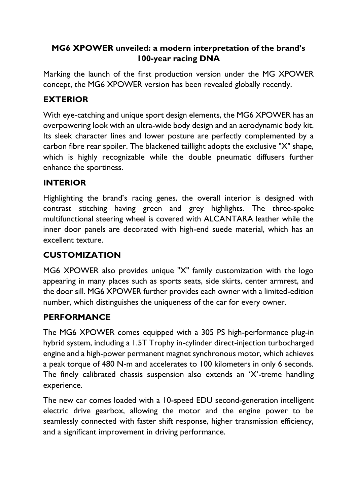### **MG6 XPOWER unveiled: a modern interpretation of the brand's 100-year racing DNA**

Marking the launch of the first production version under the MG XPOWER concept, the MG6 XPOWER version has been revealed globally recently.

# **EXTERIOR**

With eye-catching and unique sport design elements, the MG6 XPOWER has an overpowering look with an ultra-wide body design and an aerodynamic body kit. Its sleek character lines and lower posture are perfectly complemented by a carbon fibre rear spoiler. The blackened taillight adopts the exclusive "X" shape, which is highly recognizable while the double pneumatic diffusers further enhance the sportiness.

#### **INTERIOR**

Highlighting the brand's racing genes, the overall interior is designed with contrast stitching having green and grey highlights. The three-spoke multifunctional steering wheel is covered with ALCANTARA leather while the inner door panels are decorated with high-end suede material, which has an excellent texture.

# **CUSTOMIZATION**

MG6 XPOWER also provides unique "X" family customization with the logo appearing in many places such as sports seats, side skirts, center armrest, and the door sill. MG6 XPOWER further provides each owner with a limited-edition number, which distinguishes the uniqueness of the car for every owner.

### **PERFORMANCE**

The MG6 XPOWER comes equipped with a 305 PS high-performance plug-in hybrid system, including a 1.5T Trophy in-cylinder direct-injection turbocharged engine and a high-power permanent magnet synchronous motor, which achieves a peak torque of 480 N-m and accelerates to 100 kilometers in only 6 seconds. The finely calibrated chassis suspension also extends an 'X'-treme handling experience.

The new car comes loaded with a 10-speed EDU second-generation intelligent electric drive gearbox, allowing the motor and the engine power to be seamlessly connected with faster shift response, higher transmission efficiency, and a significant improvement in driving performance.